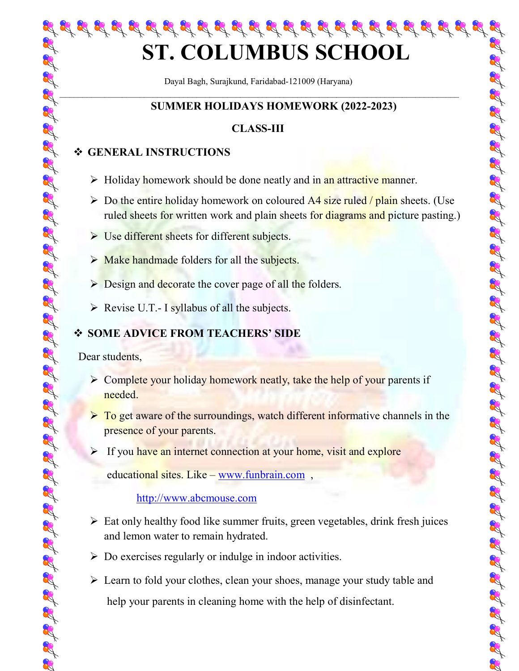Dayal Bagh, Surajkund, Faridabad-121009 (Haryana)  $-$ 

प्रद्ध प्रद्ध प्रद्ध प्रद्ध प्रद्ध प्रद्ध प्रद्ध प्रद्ध प्रद्ध प्रद्ध प्रद्ध प्रद्ध प्रद्ध प्रद्ध प्रद्ध प्रद

# SUMMER HOLIDAYS HOMEWORK (2022-2023)

# CLASS-III

# GENERAL INSTRUCTIONS

- $\triangleright$  Holiday homework should be done neatly and in an attractive manner.
- $\triangleright$  Do the entire holiday homework on coloured A4 size ruled / plain sheets. (Use ruled sheets for written work and plain sheets for diagrams and picture pasting.)
- $\triangleright$  Use different sheets for different subjects.
- $\triangleright$  Make handmade folders for all the subjects.
- $\triangleright$  Design and decorate the cover page of all the folders.
- $\triangleright$  Revise U.T.- I syllabus of all the subjects.

# SOME ADVICE FROM TEACHERS' SIDE

Dear students,

- $\triangleright$  Complete your holiday homework neatly, take the help of your parents if needed.
- $\triangleright$  To get aware of the surroundings, watch different informative channels in the presence of your parents.

 $\triangleright$  If you have an internet connection at your home, visit and explore

educational sites. Like – www.funbrain.com ,

## http://www.abcmouse.com

- $\triangleright$  Eat only healthy food like summer fruits, green vegetables, drink fresh juices and lemon water to remain hydrated.
- $\triangleright$  Do exercises regularly or indulge in indoor activities.
- **ST. COLUMBUS SCHOOL**<br>
Dayal Bagin, Stragional Fariabasis-12009 (Hargano)<br>
SUMMER HOLDDAYS HOMEWORK (2022-2023)<br>
SUMMER HOLDDAYS HOMEWORK (2022-2023)<br>
SUMMER HOLDDAYS HOMEWORK (2022-2023)<br>
SUMMER HOLDDAYS HOMEWORK (2022-2 Exercise Learn to fold your clothes, clean your shoes, manage your study table and help your parents in cleaning home with the help of disinfectant.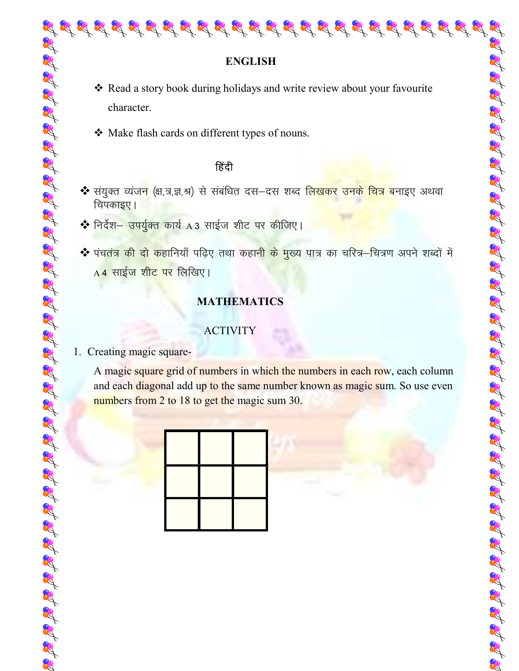- Read a story book during holidays and write review about your favourite character.
- ◆ Make flash cards on different types of nouns.

# $\mathbb{R}^4$

- ❖ संयुक्त व्यंज<mark>न</mark> (क्ष,त्र,ज्ञ,श्र) से संबंधित दस—दस शब्द <u>लिखकर उनके चित्र ब</u>नाइए अथवा चिपकाइए।
- \* निर्देश– उपर्युक्त कार्य A3 साईज शीट पर कीजिए।
- ❖ पंच<mark>तंत्र की दो क</mark>हानियाँ पढ़िए तथा कहान<mark>ी के मुख्य पात्र का चरित्र–</mark>चित्रण अपने शब्दों में  $A$ 4 साईज शीट पर लिखिए।

# MATHEMATICS

## ACTIVITY

### 1. Creating magic square-

A magic square grid of numbers in which the numbers in each row, each column and each diagonal add up to the same number known as magic sum. So use even numbers from 2 to 18 to get the magic sum 30.